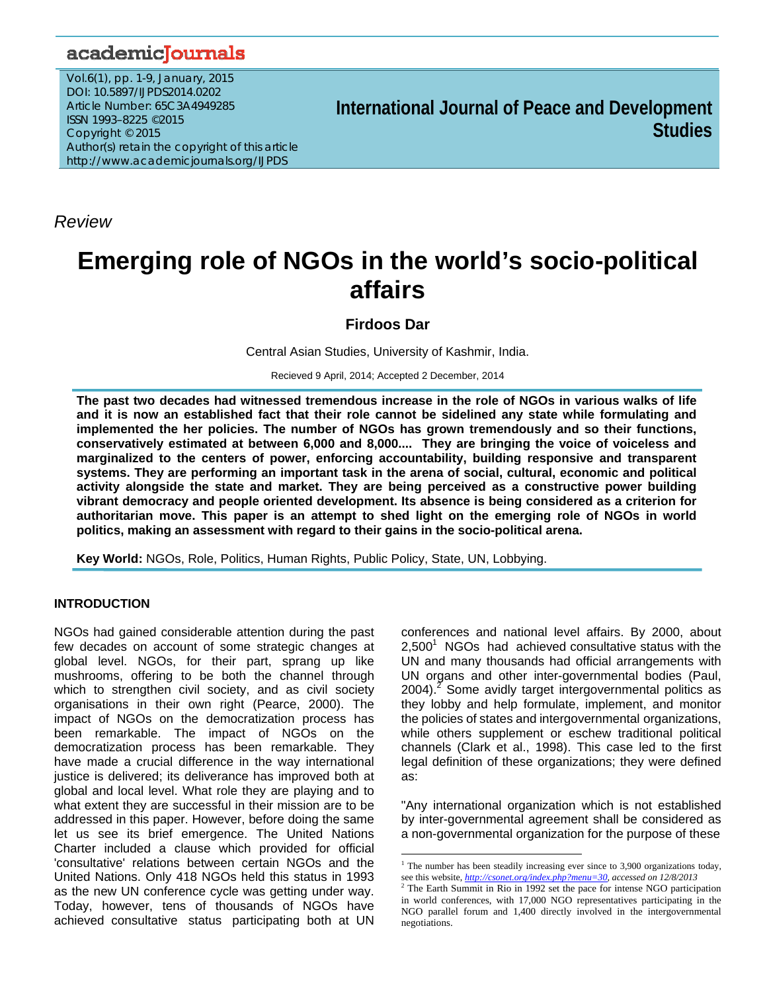## academicJournals

Vol.6(1), pp. 1-9, January, 2015 DOI: 10.5897/IJPDS2014.0202 Article Number: 65C3A4949285 ISSN 1993–8225 ©2015 Copyright © 2015 Author(s) retain the copyright of this article http://www.academicjournals.org/IJPDS

**International Journal of Peace and Development Studies**

*Review*

# **Emerging role of NGOs in the world's socio-political affairs**

**Firdoos Dar** 

Central Asian Studies, University of Kashmir, India.

Recieved 9 April, 2014; Accepted 2 December, 2014

**The past two decades had witnessed tremendous increase in the role of NGOs in various walks of life and it is now an established fact that their role cannot be sidelined any state while formulating and implemented the her policies. The number of NGOs has grown tremendously and so their functions, conservatively estimated at between 6,000 and 8,000.... They are bringing the voice of voiceless and marginalized to the centers of power, enforcing accountability, building responsive and transparent systems. They are performing an important task in the arena of social, cultural, economic and political activity alongside the state and market. They are being perceived as a constructive power building vibrant democracy and people oriented development. Its absence is being considered as a criterion for authoritarian move. This paper is an attempt to shed light on the emerging role of NGOs in world politics, making an assessment with regard to their gains in the socio-political arena.** 

**Key World:** NGOs, Role, Politics, Human Rights, Public Policy, State, UN, Lobbying.

### **INTRODUCTION**

NGOs had gained considerable attention during the past few decades on account of some strategic changes at global level. NGOs, for their part, sprang up like mushrooms, offering to be both the channel through which to strengthen civil society, and as civil society organisations in their own right (Pearce, 2000). The impact of NGOs on the democratization process has been remarkable. The impact of NGOs on the democratization process has been remarkable. They have made a crucial difference in the way international justice is delivered; its deliverance has improved both at global and local level. What role they are playing and to what extent they are successful in their mission are to be addressed in this paper. However, before doing the same let us see its brief emergence. The United Nations Charter included a clause which provided for official 'consultative' relations between certain NGOs and the United Nations. Only 418 NGOs held this status in 1993 as the new UN conference cycle was getting under way. Today, however, tens of thousands of NGOs have achieved consultative status participating both at UN

conferences and national level affairs. By 2000, about 2,500<sup>1</sup> NGOs had achieved consultative status with the UN and many thousands had official arrangements with UN organs and other inter-governmental bodies (Paul, 2004). $^2$  Some avidly target intergovernmental politics as they lobby and help formulate, implement, and monitor the policies of states and intergovernmental organizations, while others supplement or eschew traditional political channels (Clark et al., 1998). This case led to the first legal definition of these organizations; they were defined as:

"Any international organization which is not established by inter-governmental agreement shall be considered as a non-governmental organization for the purpose of these

 $\overline{a}$ <sup>1</sup> The number has been steadily increasing ever since to 3,900 organizations today, see this website, *http://csonet.org/index.php?menu=30, accessed on 12/8/2013*

<sup>&</sup>lt;sup>2</sup> The Earth Summit in Rio in 1992 set the pace for intense NGO participation in world conferences, with 17,000 NGO representatives participating in the NGO parallel forum and 1,400 directly involved in the intergovernmental negotiations.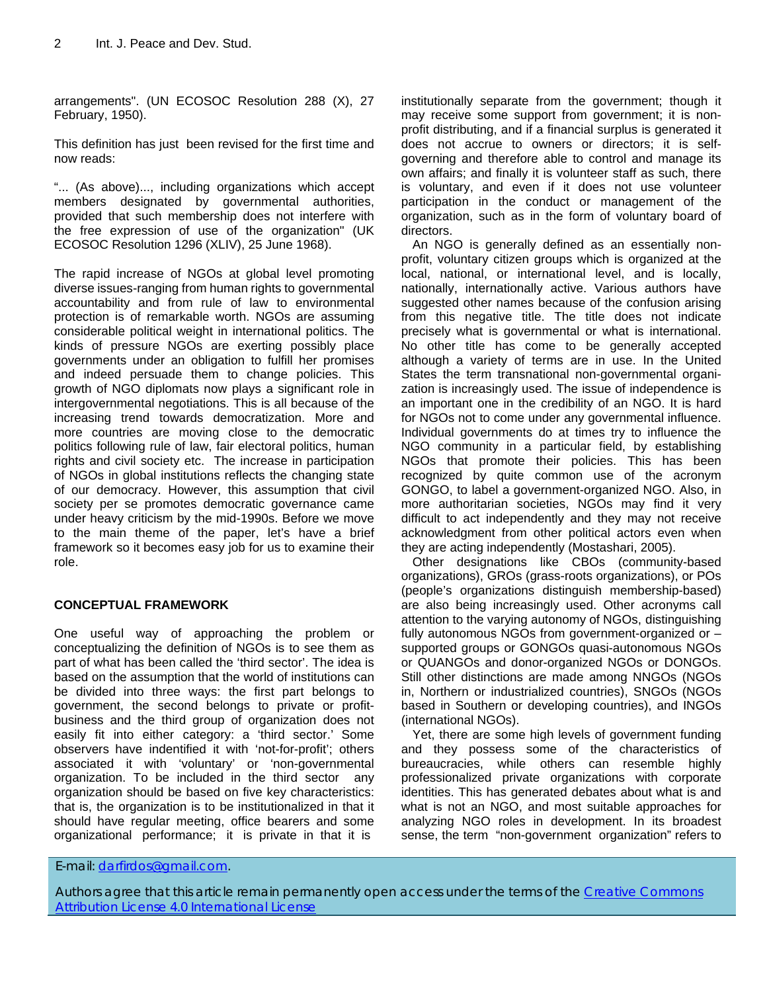arrangements". (UN ECOSOC Resolution 288 (X), 27 February, 1950).

This definition has just been revised for the first time and now reads:

"... (As above)..., including organizations which accept members designated by governmental authorities, provided that such membership does not interfere with the free expression of use of the organization" (UK ECOSOC Resolution 1296 (XLIV), 25 June 1968).

The rapid increase of NGOs at global level promoting diverse issues-ranging from human rights to governmental accountability and from rule of law to environmental protection is of remarkable worth. NGOs are assuming considerable political weight in international politics. The kinds of pressure NGOs are exerting possibly place governments under an obligation to fulfill her promises and indeed persuade them to change policies. This growth of NGO diplomats now plays a significant role in intergovernmental negotiations. This is all because of the increasing trend towards democratization. More and more countries are moving close to the democratic politics following rule of law, fair electoral politics, human rights and civil society etc. The increase in participation of NGOs in global institutions reflects the changing state of our democracy. However, this assumption that civil society per se promotes democratic governance came under heavy criticism by the mid-1990s. Before we move to the main theme of the paper, let's have a brief framework so it becomes easy job for us to examine their role.

#### **CONCEPTUAL FRAMEWORK**

One useful way of approaching the problem or conceptualizing the definition of NGOs is to see them as part of what has been called the 'third sector'. The idea is based on the assumption that the world of institutions can be divided into three ways: the first part belongs to government, the second belongs to private or profitbusiness and the third group of organization does not easily fit into either category: a 'third sector.' Some observers have indentified it with 'not-for-profit'; others associated it with 'voluntary' or 'non-governmental organization. To be included in the third sector any organization should be based on five key characteristics: that is, the organization is to be institutionalized in that it should have regular meeting, office bearers and some organizational performance; it is private in that it is

institutionally separate from the government; though it may receive some support from government; it is nonprofit distributing, and if a financial surplus is generated it does not accrue to owners or directors; it is selfgoverning and therefore able to control and manage its own affairs; and finally it is volunteer staff as such, there is voluntary, and even if it does not use volunteer participation in the conduct or management of the organization, such as in the form of voluntary board of directors.

An NGO is generally defined as an essentially nonprofit, voluntary citizen groups which is organized at the local, national, or international level, and is locally, nationally, internationally active. Various authors have suggested other names because of the confusion arising from this negative title. The title does not indicate precisely what is governmental or what is international. No other title has come to be generally accepted although a variety of terms are in use. In the United States the term transnational non-governmental organization is increasingly used. The issue of independence is an important one in the credibility of an NGO. It is hard for NGOs not to come under any governmental influence. Individual governments do at times try to influence the NGO community in a particular field, by establishing NGOs that promote their policies. This has been recognized by quite common use of the acronym GONGO, to label a government-organized NGO. Also, in more authoritarian societies, NGOs may find it very difficult to act independently and they may not receive acknowledgment from other political actors even when they are acting independently (Mostashari, 2005).

Other designations like CBOs (community-based organizations), GROs (grass-roots organizations), or POs (people's organizations distinguish membership-based) are also being increasingly used. Other acronyms call attention to the varying autonomy of NGOs, distinguishing fully autonomous NGOs from government-organized or – supported groups or GONGOs quasi-autonomous NGOs or QUANGOs and donor-organized NGOs or DONGOs. Still other distinctions are made among NNGOs (NGOs in, Northern or industrialized countries), SNGOs (NGOs based in Southern or developing countries), and INGOs (international NGOs).

Yet, there are some high levels of government funding and they possess some of the characteristics of bureaucracies, while others can resemble highly professionalized private organizations with corporate identities. This has generated debates about what is and what is not an NGO, and most suitable approaches for analyzing NGO roles in development. In its broadest sense, the term "non-government organization" refers to

E-mail: darfirdos@gmail.com.

Authors agree that this article remain permanently open access under the terms of the Creative Commons Attribution License 4.0 International License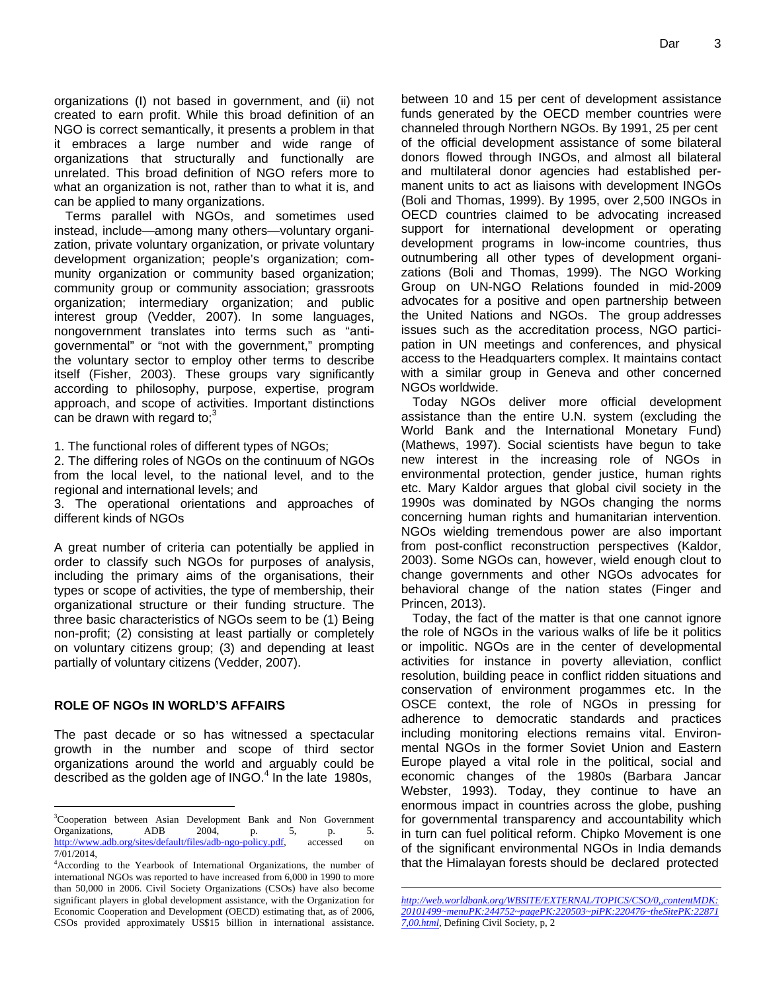organizations (I) not based in government, and (ii) not created to earn profit. While this broad definition of an NGO is correct semantically, it presents a problem in that it embraces a large number and wide range of organizations that structurally and functionally are unrelated. This broad definition of NGO refers more to what an organization is not, rather than to what it is, and can be applied to many organizations.

Terms parallel with NGOs, and sometimes used instead, include—among many others—voluntary organization, private voluntary organization, or private voluntary development organization; people's organization; community organization or community based organization; community group or community association; grassroots organization; intermediary organization; and public interest group (Vedder, 2007). In some languages, nongovernment translates into terms such as "antigovernmental" or "not with the government," prompting the voluntary sector to employ other terms to describe itself (Fisher, 2003). These groups vary significantly according to philosophy, purpose, expertise, program approach, and scope of activities. Important distinctions can be drawn with regard to; $3<sup>3</sup>$ 

1. The functional roles of different types of NGOs;

2. The differing roles of NGOs on the continuum of NGOs from the local level, to the national level, and to the regional and international levels; and

3. The operational orientations and approaches of different kinds of NGOs

A great number of criteria can potentially be applied in order to classify such NGOs for purposes of analysis, including the primary aims of the organisations, their types or scope of activities, the type of membership, their organizational structure or their funding structure. The three basic characteristics of NGOs seem to be (1) Being non-profit; (2) consisting at least partially or completely on voluntary citizens group; (3) and depending at least partially of voluntary citizens (Vedder, 2007).

#### **ROLE OF NGOs IN WORLD'S AFFAIRS**

 $\overline{a}$ 

The past decade or so has witnessed a spectacular growth in the number and scope of third sector organizations around the world and arguably could be described as the golden age of INGO. $4$  In the late 1980s,

between 10 and 15 per cent of development assistance funds generated by the OECD member countries were channeled through Northern NGOs. By 1991, 25 per cent of the official development assistance of some bilateral donors flowed through INGOs, and almost all bilateral and multilateral donor agencies had established permanent units to act as liaisons with development INGOs (Boli and Thomas, 1999). By 1995, over 2,500 INGOs in OECD countries claimed to be advocating increased support for international development or operating development programs in low-income countries, thus outnumbering all other types of development organizations (Boli and Thomas, 1999). The NGO Working Group on UN-NGO Relations founded in mid-2009 advocates for a positive and open partnership between the United Nations and NGOs. The group addresses issues such as the accreditation process, NGO participation in UN meetings and conferences, and physical access to the Headquarters complex. It maintains contact with a similar group in Geneva and other concerned NGOs worldwide.

Today NGOs deliver more official development assistance than the entire U.N. system (excluding the World Bank and the International Monetary Fund) (Mathews, 1997). Social scientists have begun to take new interest in the increasing role of NGOs in environmental protection, gender justice, human rights etc. Mary Kaldor argues that global civil society in the 1990s was dominated by NGOs changing the norms concerning human rights and humanitarian intervention. NGOs wielding tremendous power are also important from post-conflict reconstruction perspectives (Kaldor, 2003). Some NGOs can, however, wield enough clout to change governments and other NGOs advocates for behavioral change of the nation states (Finger and Princen, 2013).

Today, the fact of the matter is that one cannot ignore the role of NGOs in the various walks of life be it politics or impolitic. NGOs are in the center of developmental activities for instance in poverty alleviation, conflict resolution, building peace in conflict ridden situations and conservation of environment progammes etc. In the OSCE context, the role of NGOs in pressing for adherence to democratic standards and practices including monitoring elections remains vital. Environmental NGOs in the former Soviet Union and Eastern Europe played a vital role in the political, social and economic changes of the 1980s (Barbara Jancar Webster, 1993). Today, they continue to have an enormous impact in countries across the globe, pushing for governmental transparency and accountability which in turn can fuel political reform. Chipko Movement is one of the significant environmental NGOs in India demands that the Himalayan forests should be declared protected

 $\overline{a}$ 

<sup>&</sup>lt;sup>3</sup>Cooperation between Asian Development Bank and Non Government Organizations, ADB 2004, p. 5, p. 5. http://www.adb.org/sites/default/files/adb-ngo-policy.pdf, accessed on 7/01/2014,

<sup>4</sup> According to the Yearbook of International Organizations, the number of international NGOs was reported to have increased from 6,000 in 1990 to more than 50,000 in 2006. Civil Society Organizations (CSOs) have also become significant players in global development assistance, with the Organization for Economic Cooperation and Development (OECD) estimating that, as of 2006, CSOs provided approximately US\$15 billion in international assistance.

*http://web.worldbank.org/WBSITE/EXTERNAL/TOPICS/CSO/0,,contentMDK: 20101499~menuPK:244752~pagePK:220503~piPK:220476~theSitePK:22871 7,00.html*, Defining Civil Society, p, 2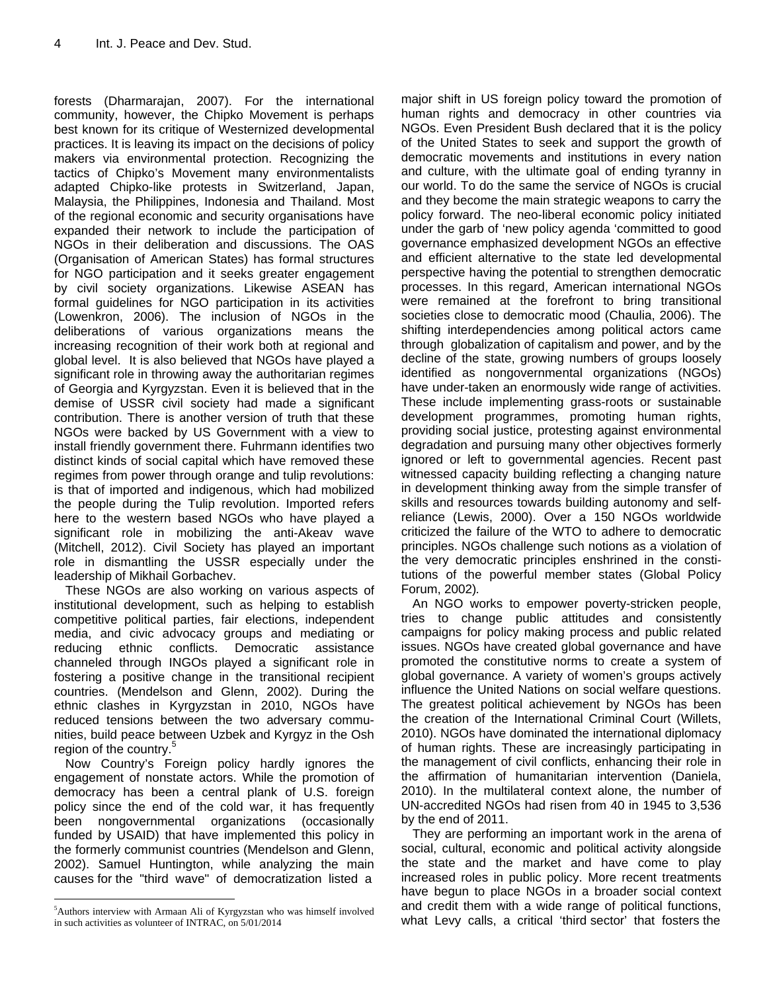forests (Dharmarajan, 2007). For the international community, however, the Chipko Movement is perhaps best known for its critique of Westernized developmental practices. It is leaving its impact on the decisions of policy makers via environmental protection. Recognizing the tactics of Chipko's Movement many environmentalists adapted Chipko-like protests in Switzerland, Japan, Malaysia, the Philippines, Indonesia and Thailand. Most of the regional economic and security organisations have expanded their network to include the participation of NGOs in their deliberation and discussions. The OAS (Organisation of American States) has formal structures for NGO participation and it seeks greater engagement by civil society organizations. Likewise ASEAN has formal guidelines for NGO participation in its activities (Lowenkron, 2006). The inclusion of NGOs in the deliberations of various organizations means the increasing recognition of their work both at regional and global level. It is also believed that NGOs have played a significant role in throwing away the authoritarian regimes of Georgia and Kyrgyzstan. Even it is believed that in the demise of USSR civil society had made a significant contribution. There is another version of truth that these NGOs were backed by US Government with a view to install friendly government there. Fuhrmann identifies two distinct kinds of social capital which have removed these regimes from power through orange and tulip revolutions: is that of imported and indigenous, which had mobilized the people during the Tulip revolution. Imported refers here to the western based NGOs who have played a significant role in mobilizing the anti-Akeav wave (Mitchell, 2012). Civil Society has played an important role in dismantling the USSR especially under the leadership of Mikhail Gorbachev.

These NGOs are also working on various aspects of institutional development, such as helping to establish competitive political parties, fair elections, independent media, and civic advocacy groups and mediating or reducing ethnic conflicts. Democratic assistance channeled through INGOs played a significant role in fostering a positive change in the transitional recipient countries. (Mendelson and Glenn, 2002). During the ethnic clashes in Kyrgyzstan in 2010, NGOs have reduced tensions between the two adversary communities, build peace between Uzbek and Kyrgyz in the Osh region of the country.<sup>5</sup>

Now Country's Foreign policy hardly ignores the engagement of nonstate actors. While the promotion of democracy has been a central plank of U.S. foreign policy since the end of the cold war, it has frequently been nongovernmental organizations (occasionally funded by USAID) that have implemented this policy in the formerly communist countries (Mendelson and Glenn, 2002). Samuel Huntington, while analyzing the main causes for the "third wave" of democratization listed a

 $\overline{a}$ 

major shift in US foreign policy toward the promotion of human rights and democracy in other countries via NGOs. Even President Bush declared that it is the policy of the United States to seek and support the growth of democratic movements and institutions in every nation and culture, with the ultimate goal of ending tyranny in our world. To do the same the service of NGOs is crucial and they become the main strategic weapons to carry the policy forward. The neo-liberal economic policy initiated under the garb of 'new policy agenda 'committed to good governance emphasized development NGOs an effective and efficient alternative to the state led developmental perspective having the potential to strengthen democratic processes. In this regard, American international NGOs were remained at the forefront to bring transitional societies close to democratic mood (Chaulia, 2006). The shifting interdependencies among political actors came through globalization of capitalism and power, and by the decline of the state, growing numbers of groups loosely identified as nongovernmental organizations (NGOs) have under-taken an enormously wide range of activities. These include implementing grass-roots or sustainable development programmes, promoting human rights, providing social justice, protesting against environmental degradation and pursuing many other objectives formerly ignored or left to governmental agencies. Recent past witnessed capacity building reflecting a changing nature in development thinking away from the simple transfer of skills and resources towards building autonomy and selfreliance (Lewis, 2000). Over a 150 NGOs worldwide criticized the failure of the WTO to adhere to democratic principles. NGOs challenge such notions as a violation of the very democratic principles enshrined in the constitutions of the powerful member states (Global Policy Forum, 2002)*.* 

An NGO works to empower poverty-stricken people, tries to change public attitudes and consistently campaigns for policy making process and public related issues. NGOs have created global governance and have promoted the constitutive norms to create a system of global governance. A variety of women's groups actively influence the United Nations on social welfare questions. The greatest political achievement by NGOs has been the creation of the International Criminal Court (Willets, 2010). NGOs have dominated the international diplomacy of human rights. These are increasingly participating in the management of civil conflicts, enhancing their role in the affirmation of humanitarian intervention (Daniela, 2010). In the multilateral context alone, the number of UN-accredited NGOs had risen from 40 in 1945 to 3,536 by the end of 2011.

They are performing an important work in the arena of social, cultural, economic and political activity alongside the state and the market and have come to play increased roles in public policy. More recent treatments have begun to place NGOs in a broader social context and credit them with a wide range of political functions, what Levy calls, a critical 'third sector' that fosters the

<sup>5</sup> Authors interview with Armaan Ali of Kyrgyzstan who was himself involved in such activities as volunteer of INTRAC, on 5/01/2014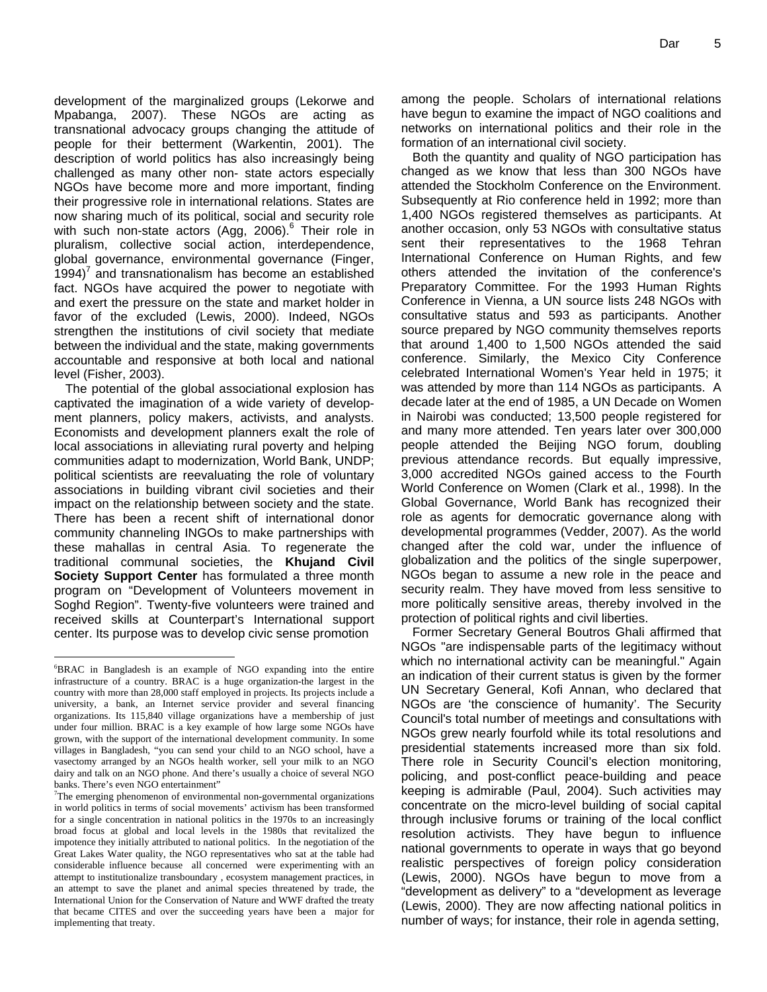development of the marginalized groups (Lekorwe and Mpabanga, 2007). These NGOs are acting as transnational advocacy groups changing the attitude of people for their betterment (Warkentin, 2001). The description of world politics has also increasingly being challenged as many other non- state actors especially NGOs have become more and more important, finding their progressive role in international relations. States are now sharing much of its political, social and security role with such non-state actors (Agg, 2006).<sup>6</sup> Their role in pluralism, collective social action, interdependence, global governance, environmental governance (Finger,  $1994$ <sup>7</sup> and transnationalism has become an established fact. NGOs have acquired the power to negotiate with and exert the pressure on the state and market holder in favor of the excluded (Lewis, 2000). Indeed, NGOs strengthen the institutions of civil society that mediate between the individual and the state, making governments accountable and responsive at both local and national level (Fisher, 2003).

The potential of the global associational explosion has captivated the imagination of a wide variety of development planners, policy makers, activists, and analysts. Economists and development planners exalt the role of local associations in alleviating rural poverty and helping communities adapt to modernization, World Bank, UNDP; political scientists are reevaluating the role of voluntary associations in building vibrant civil societies and their impact on the relationship between society and the state. There has been a recent shift of international donor community channeling INGOs to make partnerships with these mahallas in central Asia. To regenerate the traditional communal societies, the **Khujand Civil Society Support Center** has formulated a three month program on "Development of Volunteers movement in Soghd Region". Twenty-five volunteers were trained and received skills at Counterpart's International support center. Its purpose was to develop civic sense promotion

among the people. Scholars of international relations have begun to examine the impact of NGO coalitions and networks on international politics and their role in the formation of an international civil society.

Both the quantity and quality of NGO participation has changed as we know that less than 300 NGOs have attended the Stockholm Conference on the Environment. Subsequently at Rio conference held in 1992; more than 1,400 NGOs registered themselves as participants. At another occasion, only 53 NGOs with consultative status sent their representatives to the 1968 Tehran International Conference on Human Rights, and few others attended the invitation of the conference's Preparatory Committee. For the 1993 Human Rights Conference in Vienna, a UN source lists 248 NGOs with consultative status and 593 as participants. Another source prepared by NGO community themselves reports that around 1,400 to 1,500 NGOs attended the said conference. Similarly, the Mexico City Conference celebrated International Women's Year held in 1975; it was attended by more than 114 NGOs as participants. A decade later at the end of 1985, a UN Decade on Women in Nairobi was conducted; 13,500 people registered for and many more attended. Ten years later over 300,000 people attended the Beijing NGO forum, doubling previous attendance records. But equally impressive, 3,000 accredited NGOs gained access to the Fourth World Conference on Women (Clark et al., 1998). In the Global Governance, World Bank has recognized their role as agents for democratic governance along with developmental programmes (Vedder, 2007). As the world changed after the cold war, under the influence of globalization and the politics of the single superpower, NGOs began to assume a new role in the peace and security realm. They have moved from less sensitive to more politically sensitive areas, thereby involved in the protection of political rights and civil liberties.

Former Secretary General Boutros Ghali affirmed that NGOs "are indispensable parts of the legitimacy without which no international activity can be meaningful." Again an indication of their current status is given by the former UN Secretary General, Kofi Annan, who declared that NGOs are 'the conscience of humanity'. The Security Council's total number of meetings and consultations with NGOs grew nearly fourfold while its total resolutions and presidential statements increased more than six fold. There role in Security Council's election monitoring, policing, and post-conflict peace-building and peace keeping is admirable (Paul, 2004). Such activities may concentrate on the micro-level building of social capital through inclusive forums or training of the local conflict resolution activists. They have begun to influence national governments to operate in ways that go beyond realistic perspectives of foreign policy consideration (Lewis, 2000). NGOs have begun to move from a "development as delivery" to a "development as leverage (Lewis, 2000). They are now affecting national politics in number of ways; for instance, their role in agenda setting,

 $\overline{a}$ 6 BRAC in Bangladesh is an example of NGO expanding into the entire infrastructure of a country. BRAC is a huge organization-the largest in the country with more than 28,000 staff employed in projects. Its projects include a university, a bank, an Internet service provider and several financing organizations. Its 115,840 village organizations have a membership of just under four million. BRAC is a key example of how large some NGOs have grown, with the support of the international development community. In some villages in Bangladesh, "you can send your child to an NGO school, have a vasectomy arranged by an NGOs health worker, sell your milk to an NGO dairy and talk on an NGO phone. And there's usually a choice of several NGO banks. There's even NGO entertainment"

 $T$ The emerging phenomenon of environmental non-governmental organizations in world politics in terms of social movements' activism has been transformed for a single concentration in national politics in the 1970s to an increasingly broad focus at global and local levels in the 1980s that revitalized the impotence they initially attributed to national politics. In the negotiation of the Great Lakes Water quality, the NGO representatives who sat at the table had considerable influence because all concerned were experimenting with an attempt to institutionalize transboundary , ecosystem management practices, in an attempt to save the planet and animal species threatened by trade, the International Union for the Conservation of Nature and WWF drafted the treaty that became CITES and over the succeeding years have been a major for implementing that treaty.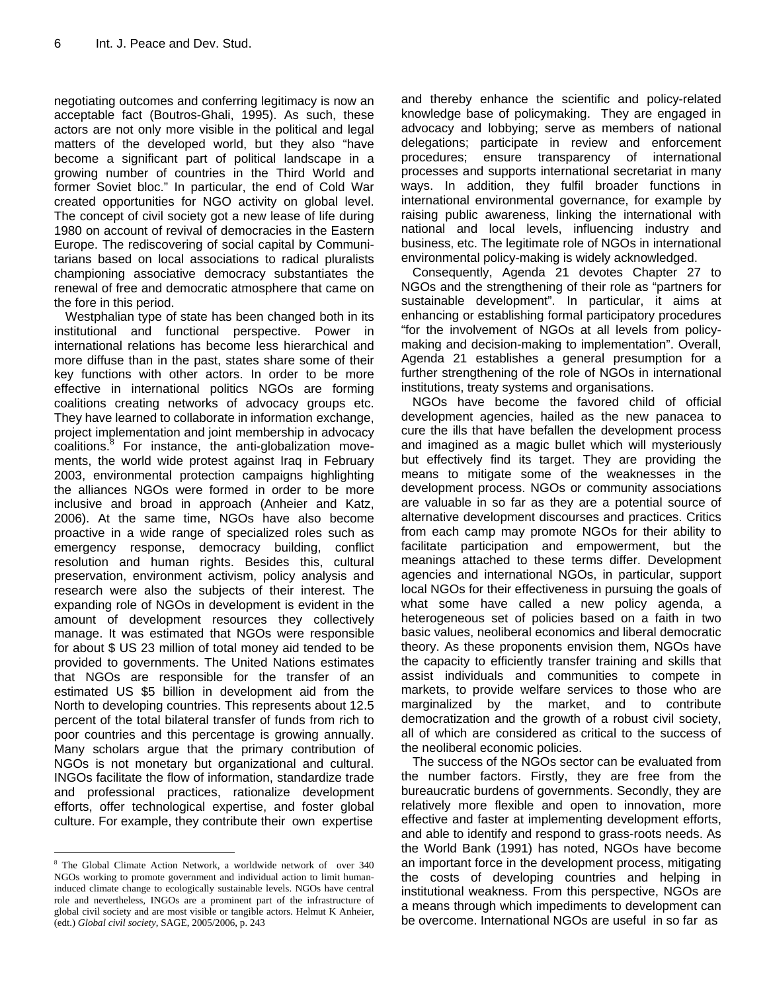negotiating outcomes and conferring legitimacy is now an acceptable fact (Boutros-Ghali, 1995). As such, these actors are not only more visible in the political and legal matters of the developed world, but they also "have become a significant part of political landscape in a growing number of countries in the Third World and former Soviet bloc." In particular, the end of Cold War created opportunities for NGO activity on global level. The concept of civil society got a new lease of life during 1980 on account of revival of democracies in the Eastern Europe. The rediscovering of social capital by Communitarians based on local associations to radical pluralists championing associative democracy substantiates the renewal of free and democratic atmosphere that came on the fore in this period.

Westphalian type of state has been changed both in its institutional and functional perspective. Power in international relations has become less hierarchical and more diffuse than in the past, states share some of their key functions with other actors. In order to be more effective in international politics NGOs are forming coalitions creating networks of advocacy groups etc. They have learned to collaborate in information exchange, project implementation and joint membership in advocacy coalitions.<sup>8</sup> For instance, the anti-globalization movements, the world wide protest against Iraq in February 2003, environmental protection campaigns highlighting the alliances NGOs were formed in order to be more inclusive and broad in approach (Anheier and Katz, 2006). At the same time, NGOs have also become proactive in a wide range of specialized roles such as emergency response, democracy building, conflict resolution and human rights. Besides this, cultural preservation, environment activism, policy analysis and research were also the subjects of their interest. The expanding role of NGOs in development is evident in the amount of development resources they collectively manage. It was estimated that NGOs were responsible for about \$ US 23 million of total money aid tended to be provided to governments. The United Nations estimates that NGOs are responsible for the transfer of an estimated US \$5 billion in development aid from the North to developing countries. This represents about 12.5 percent of the total bilateral transfer of funds from rich to poor countries and this percentage is growing annually. Many scholars argue that the primary contribution of NGOs is not monetary but organizational and cultural. INGOs facilitate the flow of information, standardize trade and professional practices, rationalize development efforts, offer technological expertise, and foster global culture. For example, they contribute their own expertise

<sup>8</sup> The Global Climate Action Network, a worldwide network of over 340 NGOs working to promote government and individual action to limit humaninduced climate change to ecologically sustainable levels. NGOs have central role and nevertheless, INGOs are a prominent part of the infrastructure of global civil society and are most visible or tangible actors. Helmut K Anheier, (edt.) *Global civil society*, SAGE, 2005/2006, p. 243

 $\overline{a}$ 

and thereby enhance the scientific and policy-related knowledge base of policymaking. They are engaged in advocacy and lobbying; serve as members of national delegations; participate in review and enforcement procedures; ensure transparency of international processes and supports international secretariat in many ways. In addition, they fulfil broader functions in international environmental governance, for example by raising public awareness, linking the international with national and local levels, influencing industry and business, etc. The legitimate role of NGOs in international environmental policy-making is widely acknowledged.

Consequently, Agenda 21 devotes Chapter 27 to NGOs and the strengthening of their role as "partners for sustainable development". In particular, it aims at enhancing or establishing formal participatory procedures "for the involvement of NGOs at all levels from policymaking and decision-making to implementation". Overall, Agenda 21 establishes a general presumption for a further strengthening of the role of NGOs in international institutions, treaty systems and organisations.

NGOs have become the favored child of official development agencies, hailed as the new panacea to cure the ills that have befallen the development process and imagined as a magic bullet which will mysteriously but effectively find its target. They are providing the means to mitigate some of the weaknesses in the development process. NGOs or community associations are valuable in so far as they are a potential source of alternative development discourses and practices. Critics from each camp may promote NGOs for their ability to facilitate participation and empowerment, but the meanings attached to these terms differ. Development agencies and international NGOs, in particular, support local NGOs for their effectiveness in pursuing the goals of what some have called a new policy agenda, a heterogeneous set of policies based on a faith in two basic values, neoliberal economics and liberal democratic theory. As these proponents envision them, NGOs have the capacity to efficiently transfer training and skills that assist individuals and communities to compete in markets, to provide welfare services to those who are marginalized by the market, and to contribute democratization and the growth of a robust civil society, all of which are considered as critical to the success of the neoliberal economic policies.

The success of the NGOs sector can be evaluated from the number factors. Firstly, they are free from the bureaucratic burdens of governments. Secondly, they are relatively more flexible and open to innovation, more effective and faster at implementing development efforts, and able to identify and respond to grass-roots needs. As the World Bank (1991) has noted, NGOs have become an important force in the development process, mitigating the costs of developing countries and helping in institutional weakness. From this perspective, NGOs are a means through which impediments to development can be overcome. International NGOs are useful in so far as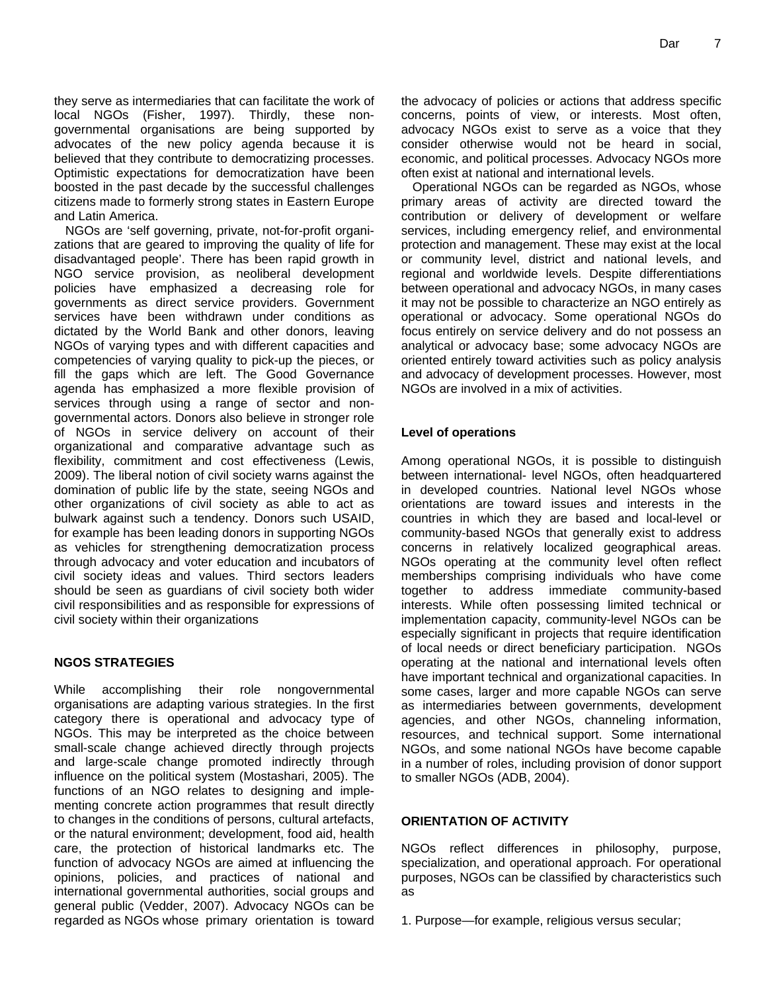they serve as intermediaries that can facilitate the work of local NGOs (Fisher, 1997). Thirdly, these nongovernmental organisations are being supported by advocates of the new policy agenda because it is believed that they contribute to democratizing processes. Optimistic expectations for democratization have been boosted in the past decade by the successful challenges citizens made to formerly strong states in Eastern Europe and Latin America.

NGOs are 'self governing, private, not-for-profit organizations that are geared to improving the quality of life for disadvantaged people'. There has been rapid growth in NGO service provision, as neoliberal development policies have emphasized a decreasing role for governments as direct service providers. Government services have been withdrawn under conditions as dictated by the World Bank and other donors, leaving NGOs of varying types and with different capacities and competencies of varying quality to pick-up the pieces, or fill the gaps which are left. The Good Governance agenda has emphasized a more flexible provision of services through using a range of sector and nongovernmental actors. Donors also believe in stronger role of NGOs in service delivery on account of their organizational and comparative advantage such as flexibility, commitment and cost effectiveness (Lewis, 2009). The liberal notion of civil society warns against the domination of public life by the state, seeing NGOs and other organizations of civil society as able to act as bulwark against such a tendency. Donors such USAID, for example has been leading donors in supporting NGOs as vehicles for strengthening democratization process through advocacy and voter education and incubators of civil society ideas and values. Third sectors leaders should be seen as guardians of civil society both wider civil responsibilities and as responsible for expressions of civil society within their organizations

#### **NGOS STRATEGIES**

While accomplishing their role nongovernmental organisations are adapting various strategies. In the first category there is operational and advocacy type of NGOs. This may be interpreted as the choice between small-scale change achieved directly through projects and large-scale change promoted indirectly through influence on the political system (Mostashari, 2005). The functions of an NGO relates to designing and implementing concrete action programmes that result directly to changes in the conditions of persons, cultural artefacts, or the natural environment; development, food aid, health care, the protection of historical landmarks etc. The function of advocacy NGOs are aimed at influencing the opinions, policies, and practices of national and international governmental authorities, social groups and general public (Vedder, 2007). Advocacy NGOs can be regarded as NGOs whose primary orientation is toward the advocacy of policies or actions that address specific concerns, points of view, or interests. Most often, advocacy NGOs exist to serve as a voice that they consider otherwise would not be heard in social, economic, and political processes. Advocacy NGOs more often exist at national and international levels.

Operational NGOs can be regarded as NGOs, whose primary areas of activity are directed toward the contribution or delivery of development or welfare services, including emergency relief, and environmental protection and management. These may exist at the local or community level, district and national levels, and regional and worldwide levels. Despite differentiations between operational and advocacy NGOs, in many cases it may not be possible to characterize an NGO entirely as operational or advocacy. Some operational NGOs do focus entirely on service delivery and do not possess an analytical or advocacy base; some advocacy NGOs are oriented entirely toward activities such as policy analysis and advocacy of development processes. However, most NGOs are involved in a mix of activities.

#### **Level of operations**

Among operational NGOs, it is possible to distinguish between international- level NGOs, often headquartered in developed countries. National level NGOs whose orientations are toward issues and interests in the countries in which they are based and local-level or community-based NGOs that generally exist to address concerns in relatively localized geographical areas. NGOs operating at the community level often reflect memberships comprising individuals who have come together to address immediate community-based interests. While often possessing limited technical or implementation capacity, community-level NGOs can be especially significant in projects that require identification of local needs or direct beneficiary participation. NGOs operating at the national and international levels often have important technical and organizational capacities. In some cases, larger and more capable NGOs can serve as intermediaries between governments, development agencies, and other NGOs, channeling information, resources, and technical support. Some international NGOs, and some national NGOs have become capable in a number of roles, including provision of donor support to smaller NGOs (ADB, 2004).

#### **ORIENTATION OF ACTIVITY**

NGOs reflect differences in philosophy, purpose, specialization, and operational approach. For operational purposes, NGOs can be classified by characteristics such as

1. Purpose—for example, religious versus secular;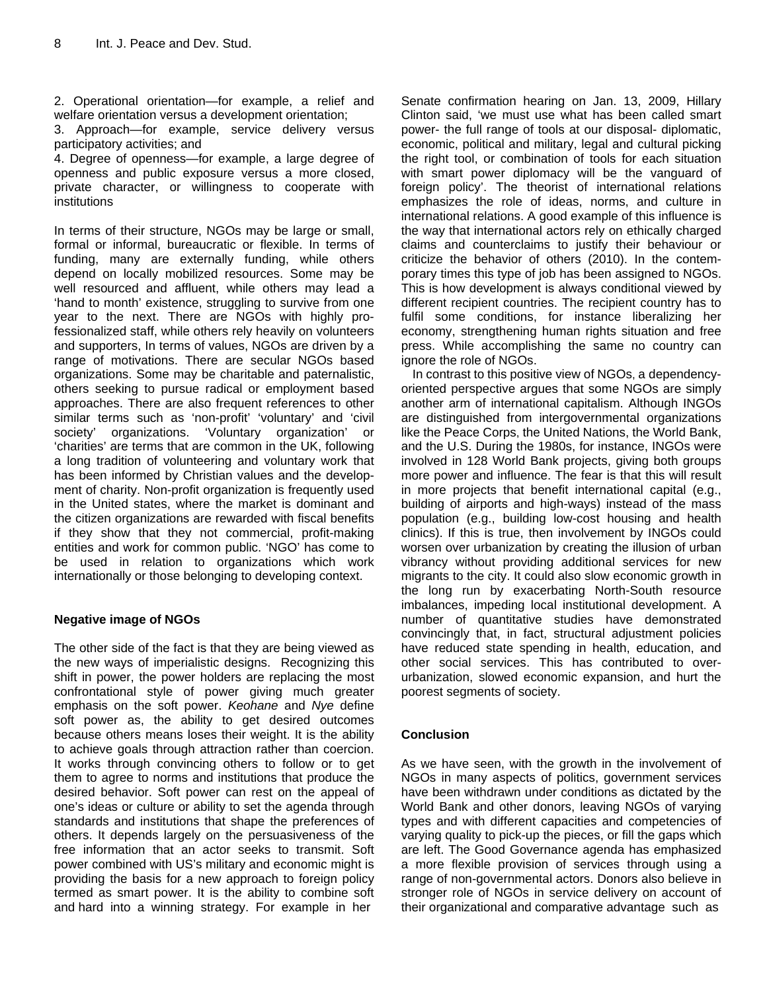2. Operational orientation—for example, a relief and welfare orientation versus a development orientation;

3. Approach—for example, service delivery versus participatory activities; and

4. Degree of openness—for example, a large degree of openness and public exposure versus a more closed, private character, or willingness to cooperate with institutions

In terms of their structure, NGOs may be large or small, formal or informal, bureaucratic or flexible. In terms of funding, many are externally funding, while others depend on locally mobilized resources. Some may be well resourced and affluent, while others may lead a 'hand to month' existence, struggling to survive from one year to the next. There are NGOs with highly professionalized staff, while others rely heavily on volunteers and supporters, In terms of values, NGOs are driven by a range of motivations. There are secular NGOs based organizations. Some may be charitable and paternalistic, others seeking to pursue radical or employment based approaches. There are also frequent references to other similar terms such as 'non-profit' 'voluntary' and 'civil society' organizations. 'Voluntary organization' or 'charities' are terms that are common in the UK, following a long tradition of volunteering and voluntary work that has been informed by Christian values and the development of charity. Non-profit organization is frequently used in the United states, where the market is dominant and the citizen organizations are rewarded with fiscal benefits if they show that they not commercial, profit-making entities and work for common public. 'NGO' has come to be used in relation to organizations which work internationally or those belonging to developing context.

#### **Negative image of NGOs**

The other side of the fact is that they are being viewed as the new ways of imperialistic designs. Recognizing this shift in power, the power holders are replacing the most confrontational style of power giving much greater emphasis on the soft power. *Keohane* and *Nye* define soft power as, the ability to get desired outcomes because others means loses their weight. It is the ability to achieve goals through attraction rather than coercion. It works through convincing others to follow or to get them to agree to norms and institutions that produce the desired behavior. Soft power can rest on the appeal of one's ideas or culture or ability to set the agenda through standards and institutions that shape the preferences of others. It depends largely on the persuasiveness of the free information that an actor seeks to transmit. Soft power combined with US's military and economic might is providing the basis for a new approach to foreign policy termed as smart power. It is the ability to combine soft and hard into a winning strategy. For example in her

Senate confirmation hearing on Jan. 13, 2009, Hillary Clinton said, 'we must use what has been called smart power- the full range of tools at our disposal- diplomatic, economic, political and military, legal and cultural picking the right tool, or combination of tools for each situation with smart power diplomacy will be the vanguard of foreign policy'. The theorist of international relations emphasizes the role of ideas, norms, and culture in international relations. A good example of this influence is the way that international actors rely on ethically charged claims and counterclaims to justify their behaviour or criticize the behavior of others (2010). In the contemporary times this type of job has been assigned to NGOs. This is how development is always conditional viewed by different recipient countries. The recipient country has to fulfil some conditions, for instance liberalizing her economy, strengthening human rights situation and free press. While accomplishing the same no country can ignore the role of NGOs.

In contrast to this positive view of NGOs, a dependencyoriented perspective argues that some NGOs are simply another arm of international capitalism. Although INGOs are distinguished from intergovernmental organizations like the Peace Corps, the United Nations, the World Bank, and the U.S. During the 1980s, for instance, INGOs were involved in 128 World Bank projects, giving both groups more power and influence. The fear is that this will result in more projects that benefit international capital (e.g., building of airports and high-ways) instead of the mass population (e.g., building low-cost housing and health clinics). If this is true, then involvement by INGOs could worsen over urbanization by creating the illusion of urban vibrancy without providing additional services for new migrants to the city. It could also slow economic growth in the long run by exacerbating North-South resource imbalances, impeding local institutional development. A number of quantitative studies have demonstrated convincingly that, in fact, structural adjustment policies have reduced state spending in health, education, and other social services. This has contributed to overurbanization, slowed economic expansion, and hurt the poorest segments of society.

#### **Conclusion**

As we have seen, with the growth in the involvement of NGOs in many aspects of politics, government services have been withdrawn under conditions as dictated by the World Bank and other donors, leaving NGOs of varying types and with different capacities and competencies of varying quality to pick-up the pieces, or fill the gaps which are left. The Good Governance agenda has emphasized a more flexible provision of services through using a range of non-governmental actors. Donors also believe in stronger role of NGOs in service delivery on account of their organizational and comparative advantage such as